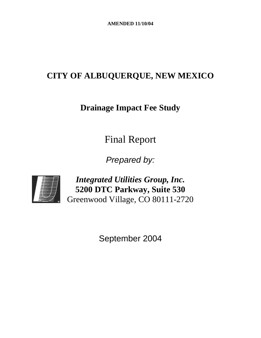# **CITY OF ALBUQUERQUE, NEW MEXICO**

# **Drainage Impact Fee Study**

Final Report

*Prepared by:* 



*Integrated Utilities Group, Inc.*  **5200 DTC Parkway, Suite 530**  Greenwood Village, CO 80111-2720

September 2004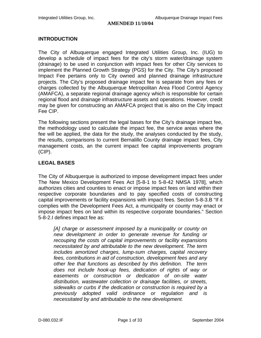#### **INTRODUCTION**

The City of Albuquerque engaged Integrated Utilities Group, Inc. (IUG) to develop a schedule of impact fees for the city's storm water/drainage system (drainage) to be used in conjunction with impact fees for other City services to implement the Planned Growth Strategy (PGS) for the City. The City's proposed Impact Fee pertains only to City owned and planned drainage infrastructure projects. The City's proposed drainage impact fee is separate from any fees or charges collected by the Albuquerque Metropolitan Area Flood Control Agency (AMAFCA), a separate regional drainage agency which is responsible for certain regional flood and drainage infrastructure assets and operations. However, credit may be given for constructing an AMAFCA project that is also on the City Impact Fee CIP.

The following sections present the legal bases for the City's drainage impact fee, the methodology used to calculate the impact fee, the service areas where the fee will be applied, the data for the study, the analyses conducted by the study, the results, comparisons to current Bernalillo County drainage impact fees, City management costs, an the current impact fee capital improvements program (CIP).

# **LEGAL BASES**

The City of Albuquerque is authorized to impose development impact fees under The New Mexico Development Fees Act [5-8-1 to 5-8-42 NMSA 1978], which authorizes cities and counties to enact or impose impact fees on land within their respective corporate boundaries and to pay specified costs of constructing capital improvements or facility expansions with impact fees. Section 5-8-3.B "If it complies with the Development Fees Act, a municipality or county may enact or impose impact fees on land within its respective corporate boundaries." Section 5-8-2.I defines impact fee as:

[A] charge or assessment imposed by a municipality or county on *new development in order to generate revenue for funding or recouping the costs of capital improvements or facility expansions necessitated by and attributable to the new development. The term includes amortized charges, lump-sum charges, capital recovery fees, contributions in aid of construction, development fees and any other fee that functions as described by this definition. The term does not include hook-up fees, dedication of rights of way or easements or construction or dedication of on-site water distribution, wastewater collection or drainage facilities, or streets, sidewalks or curbs if the dedication or construction is required by a previously adopted valid ordinance or regulation and is necessitated by and attributable to the new development.*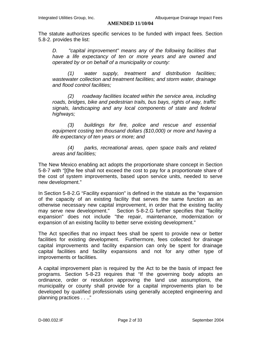The statute authorizes specific services to be funded with impact fees. Section 5.8-2. provides the list:

*D. "capital improvement" means any of the following facilities that have a life expectancy of ten or more years and are owned and operated by or on behalf of a municipality or county:* 

*(1) water supply, treatment and distribution facilities; wastewater collection and treatment facilities; and storm water, drainage and flood control facilities;* 

*(2) roadway facilities located within the service area, including roads, bridges, bike and pedestrian trails, bus bays, rights of way, traffic signals, landscaping and any local components of state and federal highways;* 

*(3) buildings for fire, police and rescue and essential equipment costing ten thousand dollars (\$10,000) or more and having a life expectancy of ten years or more; and* 

*(4) parks, recreational areas, open space trails and related areas and facilities;* 

The New Mexico enabling act adopts the proportionate share concept in Section 5-8-7 with "[t]he fee shall not exceed the cost to pay for a proportionate share of the cost of system improvements, based upon service units, needed to serve new development."

In Section 5-8-2.G "Facility expansion" is defined in the statute as the "expansion of the capacity of an existing facility that serves the same function as an otherwise necessary new capital improvement, in order that the existing facility may serve new development." Section 5-8-2.G further specifies that "facility expansion" does not include "the repair, maintenance, modernization or expansion of an existing facility to better serve existing development."

The Act specifies that no impact fees shall be spent to provide new or better facilities for existing development. Furthermore, fees collected for drainage capital improvements and facility expansion can only be spent for drainage capital facilities and facility expansions and not for any other type of improvements or facilities.

A capital improvement plan is required by the Act to be the basis of impact fee programs. Section 5-8-23 requires that "If the governing body adopts an ordinance, order or resolution approving the land use assumptions, the municipality or county shall provide for a capital improvements plan to be developed by qualified professionals using generally accepted engineering and planning practices . . .."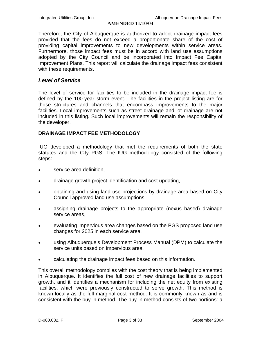Therefore, the City of Albuquerque is authorized to adopt drainage impact fees provided that the fees do not exceed a proportionate share of the cost of providing capital improvements to new developments within service areas. Furthermore, those impact fees must be in accord with land use assumptions adopted by the City Council and be incorporated into Impact Fee Capital Improvement Plans. This report will calculate the drainage impact fees consistent with these requirements.

## *Level of Service*

The level of service for facilities to be included in the drainage impact fee is defined by the 100-year storm event. The facilities in the project listing are for those structures and channels that encompass improvements to the major facilities. Local improvements such as street drainage and lot drainage are not included in this listing. Such local improvements will remain the responsibility of the developer.

#### **DRAINAGE IMPACT FEE METHODOLOGY**

IUG developed a methodology that met the requirements of both the state statutes and the City PGS. The IUG methodology consisted of the following steps:

- service area definition,
- drainage growth project identification and cost updating,
- obtaining and using land use projections by drainage area based on City Council approved land use assumptions,
- assigning drainage projects to the appropriate (nexus based) drainage service areas,
- evaluating impervious area changes based on the PGS proposed land use changes for 2025 in each service area,
- using Albuquerque's Development Process Manual (DPM) to calculate the service units based on impervious area,
- calculating the drainage impact fees based on this information.

This overall methodology complies with the cost theory that is being implemented in Albuquerque. It identifies the full cost of new drainage facilities to support growth, and it identifies a mechanism for including the net equity from existing facilities, which were previously constructed to serve growth. This method is known locally as the full marginal cost method. It is commonly known as and is consistent with the buy-in method. The buy-in method consists of two portions: a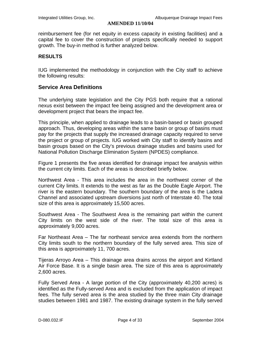reimbursement fee (for net equity in excess capacity in existing facilities) and a capital fee to cover the construction of projects specifically needed to support growth. The buy-in method is further analyzed below.

#### **RESULTS**

IUG implemented the methodology in conjunction with the City staff to achieve the following results:

### **Service Area Definitions**

The underlying state legislation and the City PGS both require that a rational nexus exist between the impact fee being assigned and the development area or development project that bears the impact fee.

This principle, when applied to drainage leads to a basin-based or basin grouped approach. Thus, developing areas within the same basin or group of basins must pay for the projects that supply the increased drainage capacity required to serve the project or group of projects. IUG worked with City staff to identify basins and basin groups based on the City's previous drainage studies and basins used for National Pollution Discharge Elimination System (NPDES) compliance.

Figure 1 presents the five areas identified for drainage impact fee analysis within the current city limits. Each of the areas is described briefly below.

Northwest Area - This area includes the area in the northwest corner of the current City limits. It extends to the west as far as the Double Eagle Airport. The river is the eastern boundary. The southern boundary of the area is the Ladera Channel and associated upstream diversions just north of Interstate 40. The total size of this area is approximately 15,500 acres.

Southwest Area - The Southwest Area is the remaining part within the current City limits on the west side of the river. The total size of this area is approximately 9,000 acres.

Far Northeast Area – The far northeast service area extends from the northern City limits south to the northern boundary of the fully served area. This size of this area is approximately 11, 700 acres.

Tijeras Arroyo Area – This drainage area drains across the airport and Kirtland Air Force Base. It is a single basin area. The size of this area is approximately 2,600 acres.

Fully Served Area - A large portion of the City (approximately 40,200 acres) is identified as the Fully-served Area and is excluded from the application of impact fees. The fully served area is the area studied by the three main City drainage studies between 1981 and 1987. The existing drainage system in the fully served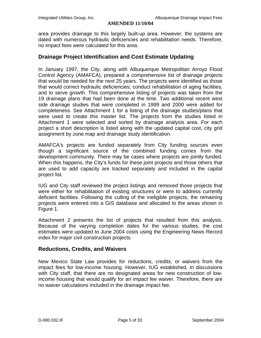area provides drainage to this largely built-up area. However, the systems are dated with numerous hydraulic deficiencies and rehabilitation needs. Therefore, no impact fees were calculated for this area.

#### **Drainage Project Identification and Cost Estimate Updating**

In January 1997, the City, along with Albuquerque Metropolitan Arroyo Flood Control Agency (AMAFCA), prepared a comprehensive list of drainage projects that would be needed for the next 25 years. The projects were identified as those that would correct hydraulic deficiencies; conduct rehabilitation of aging facilities, and to serve growth. This comprehensive listing of projects was taken from the 19 drainage plans that had been done at the time. Two additional recent west side drainage studies that were completed in 1999 and 2000 were added for completeness. See Attachment 1 for a listing of the drainage studies/plans that were used to create this master list. The projects from the studies listed in Attachment 1 were selected and sorted by drainage analysis area. For each project a short description is listed along with the updated capital cost, city grid assignment by zone map and drainage study identification.

AMAFCA's projects are funded separately from City funding sources even though a significant source of the combined funding comes from the development community. There may be cases where projects are jointly funded. When this happens, the City's funds for these joint projects and those others that are used to add capacity are tracked separately and included in the capital project list.

IUG and City staff reviewed the project listings and removed those projects that were either for rehabilitation of existing structures or were to address currently deficient facilities. Following the culling of the ineligible projects, the remaining projects were entered into a GIS database and allocated to the areas shown in Figure 1.

Attachment 2 presents the list of projects that resulted from this analysis. Because of the varying completion dates for the various studies, the cost estimates were updated to June 2004 costs using the Engineering News Record index for major civil construction projects.

#### **Reductions, Credits, and Waivers**

New Mexico State Law provides for reductions, credits, or waivers from the impact fees for low-income housing. However, IUG established, in discussions with City staff, that there are no designated areas for new construction of lowincome housing that would qualify for an impact fee waiver. Therefore, there are no waiver calculations included in the drainage impact fee.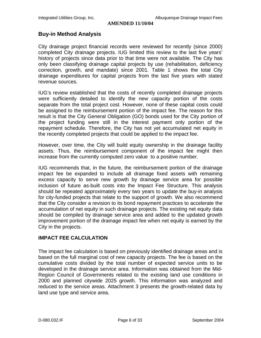#### **Buy-in Method Analysis**

City drainage project financial records were reviewed for recently (since 2000) completed City drainage projects. IUG limited this review to the last five years' history of projects since data prior to that time were not available. The City has only been classifying drainage capital projects by use (rehabilitation, deficiency correction, growth, and mandate) since 2001. Table 1 shows the total City drainage expenditures for capital projects from the last five years with stated revenue sources.

IUG's review established that the costs of recently completed drainage projects were sufficiently detailed to identify the new capacity portion of the costs separate from the total project cost. However, none of these capital costs could be assigned to the reimbursement portion of the impact fee. The reason for this result is that the City General Obligation (GO) bonds used for the City portion of the project funding were still in the interest payment only portion of the repayment schedule. Therefore, the City has not yet accumulated net equity in the recently completed projects that could be applied to the impact fee.

However, over time, the City will build equity ownership in the drainage facility assets. Thus, the reimbursement component of the impact fee might then increase from the currently computed zero value to a positive number.

IUG recommends that, in the future, the reimbursement portion of the drainage impact fee be expanded to include all drainage fixed assets with remaining excess capacity to serve new growth by drainage service area for possible inclusion of future as-built costs into the Impact Fee Structure. This analysis should be repeated approximately every two years to update the buy-in analysis for city-funded projects that relate to the support of growth. We also recommend that the City consider a revision to its bond repayment practices to accelerate the accumulation of net equity in such drainage projects. The existing net equity data should be compiled by drainage service area and added to the updated growth improvement portion of the drainage impact fee when net equity is earned by the City in the projects.

#### **IMPACT FEE CALCULATION**

The impact fee calculation is based on previously identified drainage areas and is based on the full marginal cost of new capacity projects. The fee is based on the cumulative costs divided by the total number of expected service units to be developed in the drainage service area. Information was obtained from the Mid-Region Council of Governments related to the existing land use conditions in 2000 and planned citywide 2025 growth. This information was analyzed and reduced to the service areas. Attachment 3 presents the growth-related data by land use type and service area.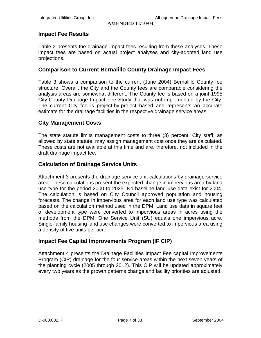#### **Impact Fee Results**

Table 2 presents the drainage impact fees resulting from these analyses. These impact fees are based on actual project analyses and city-adopted land use projections.

#### **Comparison to Current Bernalillo County Drainage Impact Fees**

Table 3 shows a comparison to the current (June 2004) Bernalillo County fee structure. Overall, the City and the County fees are comparable considering the analysis areas are somewhat different. The County fee is based on a joint 1995 City-County Drainage Impact Fee Study that was not implemented by the City. The current City fee is project-by-project based and represents an accurate estimate for the drainage facilities in the respective drainage service areas.

# **City Management Costs**

The state statute limits management costs to three (3) percent. City staff, as allowed by state statute, may assign management cost once they are calculated. These costs are not available at this time and are, therefore, not included in the draft drainage impact fee.

#### **Calculation of Drainage Service Units**

Attachment 3 presents the drainage service unit calculations by drainage service area. These calculations present the expected change in impervious area by land use type for the period 2000 to 2025. No baseline land use data exist for 2004. The calculation is based on City Council approved population and housing forecasts. The change in impervious area for each land use type was calculated based on the calculation method used in the DPM. Land use data in square feet of development type were converted to impervious areas in acres using the methods from the DPM. One Service Unit (SU) equals one impervious acre. Single-family housing land use changes were converted to impervious area using a density of five units per acre.

# **Impact Fee Capital Improvements Program (IF CIP)**

Attachment 4 presents the Drainage Facilities Impact Fee capital Improvements Program (CIP) drainage for the four service areas within the next seven years of the planning cycle (2005 through 2012). This CIP will be updated approximately every two years as the growth patterns change and facility priorities are adjusted.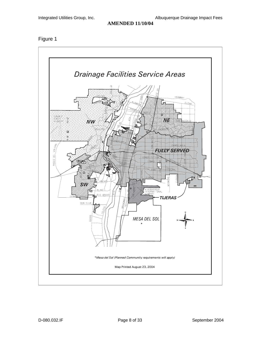Figure 1

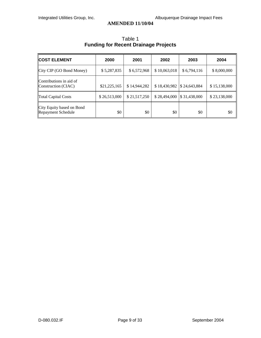| <b>COST ELEMENT</b>                             | 2000         | 2001         | 2002                                    | 2003        | 2004         |
|-------------------------------------------------|--------------|--------------|-----------------------------------------|-------------|--------------|
| City CIP (GO Bond Money)                        | \$5,287,835  | \$6,572,968  | \$10,063,018                            | \$6,794,116 | \$8,000,000  |
| Contributions in aid of<br>Construction (CIAC)  | \$21,225,165 | \$14,944,282 | $$18,430,982$ \[\ended \$\$\$24,643,884 |             | \$15,138,000 |
| <b>Total Capital Costs</b>                      | \$26,513,000 | \$21,517,250 | $$28,494,000$ $$31,438,000$             |             | \$23,138,000 |
| City Equity based on Bond<br>Repayment Schedule | \$0          | \$0          | \$0                                     | \$0         | \$0          |

# Table 1 **Funding for Recent Drainage Projects**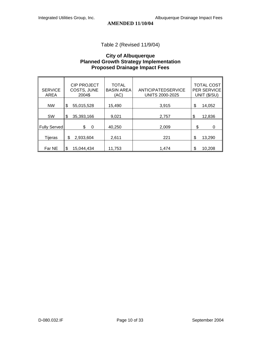Table 2 (Revised 11/9/04)

#### **City of Albuquerque Planned Growth Strategy Implementation Proposed Drainage Impact Fees**

| <b>SERVICE</b><br><b>AREA</b> | <b>CIP PROJECT</b><br>COSTS, JUNE<br>2004\$ | <b>TOTAL</b><br><b>BASIN AREA</b><br>(AC) | ANTICIPATEDSERVICE<br><b>UNITS 2000-2025</b> | <b>TOTAL COST</b><br>PER SERVICE<br>UNIT (\$/SU) |
|-------------------------------|---------------------------------------------|-------------------------------------------|----------------------------------------------|--------------------------------------------------|
| <b>NW</b>                     | \$<br>55,015,528                            | 15,490                                    | 3,915                                        | \$<br>14,052                                     |
| <b>SW</b>                     | \$<br>35,393,166                            | 9,021                                     | 2,757                                        | \$<br>12,836                                     |
| Fully Served                  | \$<br>0                                     | 40,250                                    | 2,009                                        | \$<br>0                                          |
| Tijeras                       | \$<br>2,933,604                             | 2,611                                     | 221                                          | \$<br>13,290                                     |
| Far NE                        | \$<br>15,044,434                            | 11,753                                    | 1.474                                        | \$<br>10,208                                     |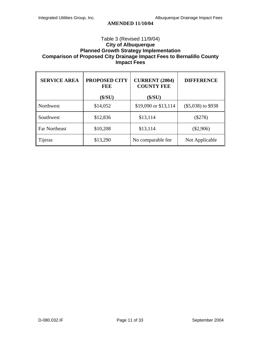#### Table 3 (Revised 11/9/04) **City of Albuquerque Planned Growth Strategy Implementation Comparison of Proposed City Drainage Impact Fees to Bernalillo County Impact Fees**

| <b>SERVICE AREA</b>  | <b>PROPOSED CITY</b><br>FEE | <b>CURRENT (2004)</b><br><b>COUNTY FEE</b> | <b>DIFFERENCE</b>    |
|----------------------|-----------------------------|--------------------------------------------|----------------------|
|                      | $(\$/SU)$                   | (\$/SU)                                    |                      |
| Northwest            | \$14,052                    | \$19,090 or \$13,114                       | $(\$5,038)$ to \$938 |
| Southwest            | \$12,836                    | \$13,114                                   | $(\$278)$            |
| <b>Far Northeast</b> | \$10,208                    | \$13,114                                   | $(\$2,906)$          |
| Tijeras              | \$13,290                    | No comparable fee                          | Not Applicable       |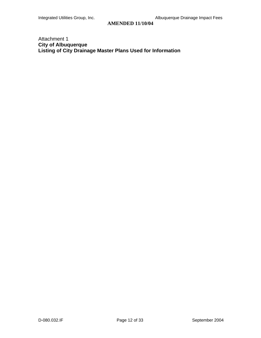## Attachment 1 **City of Albuquerque Listing of City Drainage Master Plans Used for Information**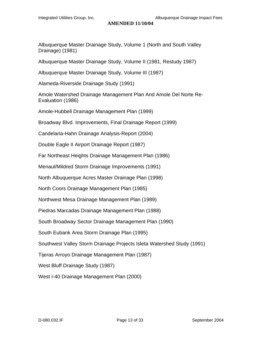Albuquerque Master Drainage Study, Volume 1 (North and South Valley Drainage) (1981)

Albuquerque Master Drainage Study, Volume II (1981, Restudy 1987)

Albuquerque Master Drainage Study, Volume III (1987)

Alameda-Riverside Drainage Study (1991)

Amole Watershed Drainage Management Plan And Amole Del Norte Re-Evaluation (1986)

Amole-Hubbell Drainage Management Plan (1999)

Broadway Blvd. Improvements, Final Drainage Report (1999)

Candelaria-Hahn Drainage Analysis-Report (2004)

Double Eagle II Airport Drainage Report (1987)

Far Northeast Heights Drainage Management Plan (1986)

Menaul/Mildred Storm Drainage Improvements (1991)

North Albuquerque Acres Master Drainage Plan (1998)

North Coors Drainage Management Plan (1985)

Northwest Mesa Drainage Management Plan (1989)

Piedras Marcadas Drainage Management Plan (1988)

South Broadway Sector Drainage Management Plan (1990)

South Eubank Area Storm Drainage Plan (1995)

Southwest Valley Storm Drainage Projects Isleta Watershed Study (1991)

Tijeras Arroyo Drainage Management Plan (1987)

West Bluff Drainage Study (1987)

West I-40 Drainage Management Plan (2000)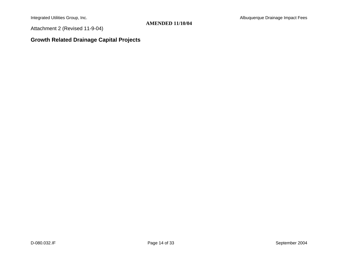Attachment 2 (Revised 11-9-04)

# **Growth Related Drainage Capital Projects**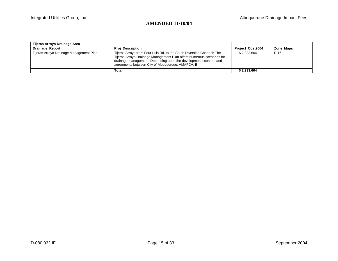| Tijeras Arroyo Drainage Area            |                                                                                                                                                                                                                                                                          |                         |           |
|-----------------------------------------|--------------------------------------------------------------------------------------------------------------------------------------------------------------------------------------------------------------------------------------------------------------------------|-------------------------|-----------|
| Drainage_Report                         | <b>Proj Description</b>                                                                                                                                                                                                                                                  | <b>Project Cost2004</b> | Zone Maps |
| Tijeras Arroyo Drainage Management Plan | Tijeras Arroyo from Four Hills Rd. to the South Diversion Channel: The<br>Tijeras Arroyo Drainage Management Plan offers numerous scenarios for<br>drainage management. Depending upon the development scenario and<br>agreements between City of Albuguergue, AMAFCA, B | \$2.933.604             | $P-16$    |
|                                         | <b>Total</b>                                                                                                                                                                                                                                                             | \$2.933.604             |           |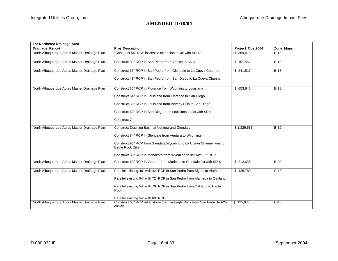| Far Northeast Drainage Area                  |                                                                                        |                  |           |
|----------------------------------------------|----------------------------------------------------------------------------------------|------------------|-----------|
| Drainage_Report                              | <b>Proj_Description</b>                                                                | Project_Cost2004 | Zone_Maps |
| North Albuquerque Acres Master Drainage Plan | "Construct 54" RCP in Venice extension to Jct with SD-4"                               | \$369,418        | $B-18$    |
| North Albuquerque Acres Master Drainage Plan | Construct 30" RCP in San Pedro from Venice to SD-4                                     | \$157,553        | $B-18$    |
| North Albuquerque Acres Master Drainage Plan | Construct 36" RCP in San Pedro from Glendale to La Cueva Channel                       | \$241,517        | $B-18$    |
|                                              | Construct 48" RCP in San Pedro from San Diego to La Cueva Channel                      |                  |           |
| North Albuquerque Acres Master Drainage Plan | Construct 36" RCP in Florence from Wyoming to Louisiana                                | \$ 653,846       | $B-18$    |
|                                              | Construct 54" RCP in Louisiana from Florence to San Diego                              |                  |           |
|                                              | Construct 30" RCP in Louisiana from Beverly Hills to San Diego                         |                  |           |
|                                              | Construct 60" RCP in San Diego from Louisiana to Jct with SD-1                         |                  |           |
|                                              | Construct 7                                                                            |                  |           |
| North Albuquerque Acres Master Drainage Plan | Construct Desilting Basin at Ventura and Glendale                                      | \$1,326,531      | $B-19$    |
|                                              | Construct 84" RCP in Glendale from Ventura to Wyoming                                  |                  |           |
|                                              | Construct 96" RCP from Glendale/Wyoming to La Cueva Channel west of<br>Eagle Rock Dike |                  |           |
|                                              | Construct 30" RCP in Mondesto from Wyoming to Jct with 96" RCP                         |                  |           |
| North Albuquerque Acres Master Drainage Plan | Construct 60" RCP in Ventura from Modesto to Glendale Jct with SD-6                    | \$212,638        | $B-20$    |
| North Albuquerque Acres Master Drainage Plan | Parallel existing 48" with 42" RCP in San Pedro from Signal to Alameda                 | \$425,780        | $C-18$    |
|                                              | Parallel existing 54" with 72" RCP in San Pedro from Alameda to Oakland                |                  |           |
|                                              | Parallel existing 54" with 78" RCP in San Pedro from Oakland to Eagle<br>Rock          |                  |           |
|                                              | Parallel existing 54" with 60" RCP                                                     |                  |           |
| North Albuquerque Acres Master Drainage Plan | Construct 60" RCP relief storm drain in Eagle Rock from San Pedro to I-25<br>culvert   | \$125,677.00     | $C-18$    |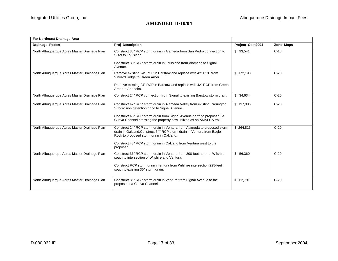| Far Northeast Drainage Area                  |                                                                                                                                                                                                                                                                              |                  |           |
|----------------------------------------------|------------------------------------------------------------------------------------------------------------------------------------------------------------------------------------------------------------------------------------------------------------------------------|------------------|-----------|
| Drainage_Report                              | <b>Proj Description</b>                                                                                                                                                                                                                                                      | Project Cost2004 | Zone_Maps |
| North Albuquerque Acres Master Drainage Plan | Construct 30" RCP storm drain in Alameda from San Pedro connection to<br>SD-9 to Louisiana.<br>Construct 30" RCP storm drain in Louisiana from Alameda to Signal<br>Avenue.                                                                                                  | \$93,541         | $C-18$    |
| North Albuquerque Acres Master Drainage Plan | Remove existing 24" RCP in Barstow and replace with 42" RCP from<br>Vinyard Ridge to Green Arbor.<br>Remove existing 24" RCP in Barstow and replace with 42" RCP from Green<br>Arbor to Anaheim.                                                                             | \$172.198        | $C-20$    |
| North Albuquerque Acres Master Drainage Plan | Construct 24" RCP connection from Signal to existing Barstow storm drain.                                                                                                                                                                                                    | \$34,634         | $C-20$    |
| North Albuquerque Acres Master Drainage Plan | Construct 42" RCP storm drain in Alameda Valley from existing Carrington<br>Subdivision detention pond to Signal Avenue.<br>Construct 48" RCP storm drain from Signal Avenue north to proposed La<br>Cueva Channel crossing the property now utilized as an AMAFCA trail     | \$137,886        | $C-20$    |
| North Albuquerque Acres Master Drainage Plan | Construct 24" RCP storm drain in Ventura from Alameda to proposed storm<br>drain in Oakland.Construct 54" RCP storm drain in Ventura from Eagle<br>Rock to proposed storm drain in Oakland.<br>Construct 48" RCP storm drain in Oakland from Ventura west to the<br>proposed | \$264.815        | $C-20$    |
| North Albuquerque Acres Master Drainage Plan | Construct 36" RCP storm drain in Ventura from 200-feet north of Wilshire<br>south to intersection of Wilshire and Ventura.<br>Construct RCP storm drain in entura from Wilshire intersection 225-feet<br>south to existing 36" storm drain.                                  | \$56,360         | $C-20$    |
| North Albuquerque Acres Master Drainage Plan | Construct 36" RCP storm drain in Ventura from Signal Avenue to the<br>proposed La Cueva Channel.                                                                                                                                                                             | \$62,791         | $C-20$    |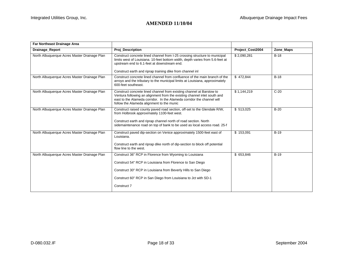| <b>Proj Description</b>                                                                                                                                                                                                                                                 | Project Cost2004 | Zone_Maps |
|-------------------------------------------------------------------------------------------------------------------------------------------------------------------------------------------------------------------------------------------------------------------------|------------------|-----------|
| Construct concrete lined channel from I-25 crossing structure to municipal<br>limits west of Louisiana. 10-feet bottom width, depth varies from 5.6-feet at<br>upstream end to 6.1-feet at downstream end.<br>Construct earth and riprap training dike from channel inl | \$2,090,281      | $B-18$    |
| Construct concrete lined channel from confluence of the main branch of the<br>arroyo and the tributary to the municipal limits at Louisiana, approximately<br>600-feet southeast.                                                                                       | \$472.844        | $B-18$    |
| Construct concrete lined channel from existing channel at Barstow to<br>Ventura following an alignment from the existing channel inlet south and<br>east to the Alameda corridor. In the Alameda corridor the channel will<br>follow the Alameda alignment to the munic | \$1,144,219      | $C-20$    |
| Construct raised county paved road section, off-set to the Glendale R/W,<br>from Holbrook approximately 1100-feet west.<br>Construct earth and riprap channel north of road section. North<br>sidemaintenance road on top of bank to be used as local access road. 25-f | \$513,025        | $B-20$    |
| Construct paved dip-section on Venice approximately 1500-feet east of<br>Louisiana.<br>Construct earth and riprap dike north of dip-section to block off potential<br>flow line to the west.                                                                            | \$153,091        | $B-19$    |
| Construct 36" RCP in Florence from Wyoming to Louisiana<br>Construct 54" RCP in Louisiana from Florence to San Diego<br>Construct 30" RCP in Louisiana from Beverly Hills to San Diego<br>Construct 60" RCP in San Diego from Louisiana to Jct with SD-1<br>Construct 7 | \$ 653,846       | $B-19$    |
|                                                                                                                                                                                                                                                                         |                  |           |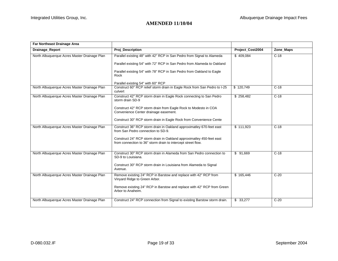| Far Northeast Drainage Area                  |                                                                                                                                                                                                                                                                           |                  |           |
|----------------------------------------------|---------------------------------------------------------------------------------------------------------------------------------------------------------------------------------------------------------------------------------------------------------------------------|------------------|-----------|
| Drainage_Report                              | Proj_Description                                                                                                                                                                                                                                                          | Project_Cost2004 | Zone_Maps |
| North Albuquerque Acres Master Drainage Plan | Parallel existing 48" with 42" RCP in San Pedro from Signal to Alameda<br>Parallel existing 54" with 72" RCP in San Pedro from Alameda to Oakland<br>Parallel existing 54" with 78" RCP in San Pedro from Oakland to Eagle<br>Rock                                        | \$409,084        | $C-18$    |
|                                              | Parallel existing 54" with 60" RCP                                                                                                                                                                                                                                        |                  |           |
| North Albuquerque Acres Master Drainage Plan | Construct 60" RCP relief storm drain in Eagle Rock from San Pedro to I-25<br>culvert                                                                                                                                                                                      | \$120,749        | $C-18$    |
| North Albuquerque Acres Master Drainage Plan | Construct 42" RCP storm drain in Eagle Rock connecting to San Pedro<br>storm drain SD-9<br>Construct 42" RCP storm drain from Eagle Rock to Modesto in COA<br>Convenience Center drainage easement.<br>Construct 30" RCP storm drain in Eagle Rock from Convenience Cente | \$258,482        | $C-18$    |
| North Albuquerque Acres Master Drainage Plan | Construct 36" RCP storm drain in Oakland approximatley 670-feet east<br>from San Pedro connection to SD-9.<br>Construct 24" RCP storm drain in Oakland approximatley 450-feet east<br>from connection to 36" storm drain to intercept street flow.                        | \$111.923        | $C-18$    |
| North Albuquerque Acres Master Drainage Plan | Construct 30" RCP storm drain in Alameda from San Pedro connection to<br>SD-9 to Louisiana.<br>Construct 30" RCP storm drain in Louisiana from Alameda to Signal<br>Avenue.                                                                                               | \$91,669         | $C-18$    |
| North Albuquerque Acres Master Drainage Plan | Remove existing 24" RCP in Barstow and replace with 42" RCP from<br>Vinyard Ridge to Green Arbor.<br>Remove existing 24" RCP in Barstow and replace with 42" RCP from Green<br>Arbor to Anaheim.                                                                          | \$165,446        | $C-20$    |
| North Albuquerque Acres Master Drainage Plan | Construct 24" RCP connection from Signal to existing Barstow storm drain.                                                                                                                                                                                                 | \$33,277         | $C-20$    |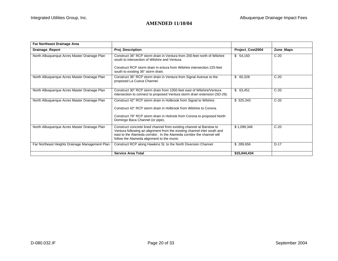| <b>Far Northeast Drainage Area</b>             |                                                                                                                                                                                                                                                                         |                  |           |
|------------------------------------------------|-------------------------------------------------------------------------------------------------------------------------------------------------------------------------------------------------------------------------------------------------------------------------|------------------|-----------|
| Drainage_Report                                | <b>Proj_Description</b>                                                                                                                                                                                                                                                 | Project_Cost2004 | Zone_Maps |
| North Albuquerque Acres Master Drainage Plan   | Construct 36" RCP storm drain in Ventura from 200-feet north of Wilshire<br>south to intersection of Wilshire and Ventura.<br>Construct RCP storm drain in entura from Wilshire intersection 225-feet<br>south to existing 36" storm drain.                             | \$54,150         | $C-20$    |
| North Albuquerque Acres Master Drainage Plan   | Construct 36" RCP storm drain in Ventura from Signal Avenue to the<br>proposed La Cueva Channel.                                                                                                                                                                        | \$60,328         | $C-20$    |
| North Albuquerque Acres Master Drainage Plan   | Construct 30" RCP storm drain from 1050-feet east of Wilshire/Ventura<br>intersection to connect to proposed Ventura storm drain extension (SD-29).                                                                                                                     | \$63,451         | $C-20$    |
| North Albuquerque Acres Master Drainage Plan   | Construct 42" RCP storm drain in Holbrook from Signal to Wilshire.<br>Construct 42" RCP storm drain in Holbrook from Wilshire to Corona.<br>Construct 78" RCP storm drain in Holrook from Corona to proposed North<br>Domingo Baca Channel (or pipe).                   | \$325,343        | $C-20$    |
| North Albuquerque Acres Master Drainage Plan   | Construct concrete lined channel from existing channel at Barstow to<br>Ventura following an alignment from the existing channel inlet south and<br>east to the Alameda corridor. In the Alameda corridor the channel will<br>follow the Alameda alignment to the munic | \$1,099,348      | $C-20$    |
| Far Northeast Heights Drainage Management Plan | Construct RCP along Hawkins St. to the North Diversion Channel.                                                                                                                                                                                                         | \$289,656        | $D-17$    |
|                                                | <b>Service Area Total</b>                                                                                                                                                                                                                                               | \$15,044,434     |           |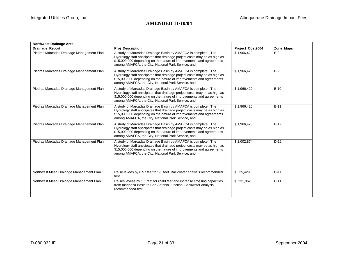| <b>Northwest Drainage Area</b>            |                                                                                                                                                                                                                                                                         |                  |           |
|-------------------------------------------|-------------------------------------------------------------------------------------------------------------------------------------------------------------------------------------------------------------------------------------------------------------------------|------------------|-----------|
| Drainage_Report                           | <b>Proj Description</b>                                                                                                                                                                                                                                                 | Project Cost2004 | Zone_Maps |
| Piedras Marcadas Drainage Management Plan | A study of Marcadas Drainage Basin by AMAFCA is complete. The<br>Hydrology staff anticipates that drainage project costs may be as high as<br>\$15,000,000 depending on the nature of improvements and agreements<br>among AMAFCA, the City, National Park Service, and | \$1,966,420      | $B-8$     |
| Piedras Marcadas Drainage Management Plan | A study of Marcadas Drainage Basin by AMAFCA is complete. The<br>Hydrology staff anticipates that drainage project costs may be as high as<br>\$15,000,000 depending on the nature of improvements and agreements<br>among AMAFCA, the City, National Park Service, and | \$1,966,420      | $B-9$     |
| Piedras Marcadas Drainage Management Plan | A study of Marcadas Drainage Basin by AMAFCA is complete. The<br>Hydrology staff anticipates that drainage project costs may be as high as<br>\$15,000,000 depending on the nature of improvements and agreements<br>among AMAFCA, the City, National Park Service, and | \$1,966,420      | $B-10$    |
| Piedras Marcadas Drainage Management Plan | A study of Marcadas Drainage Basin by AMAFCA is complete. The<br>Hydrology staff anticipates that drainage project costs may be as high as<br>\$15,000,000 depending on the nature of improvements and agreements<br>among AMAFCA, the City, National Park Service, and | \$1,966,420      | $B-11$    |
| Piedras Marcadas Drainage Management Plan | A study of Marcadas Drainage Basin by AMAFCA is complete. The<br>Hydrology staff anticipates that drainage project costs may be as high as<br>\$15,000,000 depending on the nature of improvements and agreements<br>among AMAFCA, the City, National Park Service, and | \$1,966,420      | $B-12$    |
| Piedras Marcadas Drainage Management Plan | A study of Marcadas Drainage Basin by AMAFCA is complete. The<br>Hydrology staff anticipates that drainage project costs may be as high as<br>\$15,000,000 depending on the nature of improvements and agreements<br>among AMAFCA, the City, National Park Service, and | \$1,002,874      | $D-12$    |
| Northwest Mesa Drainage Management Plan   | Raise levees by 0.57 feet for 25 feet. Backwater analysis recommended<br>first.                                                                                                                                                                                         | \$35,429         | $D-11$    |
| Northwest Mesa Drainage Management Plan   | Raises levees by 1.1 feet for 6500 feet and increase crossing capacities<br>from mariposa Basin to San Antonio Junction. Backwater analysis<br>recommended first.                                                                                                       | \$ 231,062       | $E-11$    |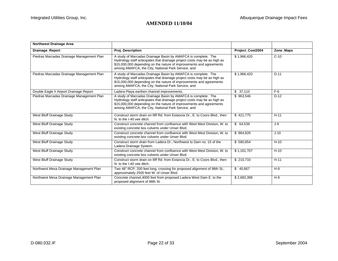| <b>Northwest Drainage Area</b>            |                                                                                                                                                                                                                                                                         |                  |           |
|-------------------------------------------|-------------------------------------------------------------------------------------------------------------------------------------------------------------------------------------------------------------------------------------------------------------------------|------------------|-----------|
| Drainage_Report                           | <b>Proj_Description</b>                                                                                                                                                                                                                                                 | Project_Cost2004 | Zone_Maps |
| Piedras Marcadas Drainage Management Plan | A study of Marcadas Drainage Basin by AMAFCA is complete. The<br>Hydrology staff anticipates that drainage project costs may be as high as<br>\$15,000,000 depending on the nature of improvements and agreements<br>among AMAFCA, the City, National Park Service, and | \$1,966,420      | $C-10$    |
| Piedras Marcadas Drainage Management Plan | A study of Marcadas Drainage Basin by AMAFCA is complete. The<br>Hydrology staff anticipates that drainage project costs may be as high as<br>\$15,000,000 depending on the nature of improvements and agreements<br>among AMAFCA, the City, National Park Service, and | \$1,966,420      | $D-11$    |
| Double Eagle II Airport Drainage Report   | Ladera Playa earthen channel improvements,                                                                                                                                                                                                                              | \$37,110         | $F-6$     |
| Piedras Marcadas Drainage Management Plan | A study of Marcadas Drainage Basin by AMAFCA is complete. The<br>Hydrology staff anticipates that drainage project costs may be as high as<br>\$15,000,000 depending on the nature of improvements and agreements<br>among AMAFCA, the City, National Park Service, and | \$963,546        | $D-12$    |
| West Bluff Drainage Study                 | Construct storm drain on Iliff Rd. from Estancia Dr., E. to Coors Blvd., then<br>N, to the I-40 yee ditch.                                                                                                                                                              | \$421,775        | $H-11$    |
| West Bluff Drainage Study                 | Construct concrete channel from confluence with West Mest Division, W. to<br>existing concrete box culverts under Unser Blvd.                                                                                                                                           | \$64,539         | J-9       |
| West Bluff Drainage Study                 | Construct concrete channel from confluence with West Mest Division, W. to<br>existing concrete box culverts under Unser Blvd.                                                                                                                                           | \$864,826        | $J-10$    |
| West Bluff Drainage Study                 | Construct storm drain from Ladera Dr., Northwest to Dam no. 15 of the<br>Ladera Drainage System.                                                                                                                                                                        | \$580,854        | $H-10$    |
| West Bluff Drainage Study                 | Construct concrete channel from confluence with West Mest Division, W. to<br>existing concrete box culverts under Unser Blvd.                                                                                                                                           | \$1.161.707      | $H-10$    |
| West Bluff Drainage Study                 | Construct storm drain on Iliff Rd. from Estancia Dr., E. to Coors Blvd., then<br>N, to the I-40 yee ditch.                                                                                                                                                              | \$210,710        | $H-11$    |
| Northwest Mesa Drainage Management Plan   | Two 48" RCP, 200 feet long, crossing for proposed alignment of 98th St.,<br>approximately 2500 feet W. of Unser Blvd.                                                                                                                                                   | \$40,667         | $H-9$     |
| Northwest Mesa Drainage Management Plan   | Concrete channel, 4000 feet from proposed Ladera West Dam E. to the<br>proposed alignment of 98th St.                                                                                                                                                                   | \$2,683,398      | $H-9$     |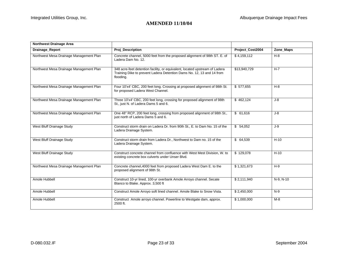| <b>Northwest Drainage Area</b>          |                                                                                                                                                                   |                  |             |
|-----------------------------------------|-------------------------------------------------------------------------------------------------------------------------------------------------------------------|------------------|-------------|
| Drainage_Report                         | Proj_Description                                                                                                                                                  | Project_Cost2004 | Zone_Maps   |
| Northwest Mesa Drainage Management Plan | Concrete channel, 5000 feet from the proposed alignment of 98th ST. E. of<br>Ladera Dam No. 12.                                                                   | \$4,159,112      | $H-8$       |
| Northwest Mesa Drainage Management Plan | 348 acre-feet detention facility, or equivalent, located upstream of Ladera<br>Training Dike to prevent Ladera Detention Dams No. 12, 13 and 14 from<br>flooding. | \$13,940,729     | $H-7$       |
| Northwest Mesa Drainage Management Plan | Four 10'x4' CBC, 200 feet long. Crossing at proposed alignment of 98th St.<br>for proposed Ladera West Channel.                                                   | \$577,655        | $H-8$       |
| Northwest Mesa Drainage Management Plan | Three 10'x4' CBC, 200 feet long, crossing for proposed alignment of 98th<br>St., just N. of Ladera Dams 5 and 6.                                                  | \$462,124        | J-8         |
| Northwest Mesa Drainage Management Plan | One 48" RCP, 200 feet long, crossing from proposed alignment of 98th St.,<br>just north of Ladera Dams 5 and 6.                                                   | \$61,616         | $J-8$       |
| West Bluff Drainage Study               | Construct storm drain on Ladera Dr. from 90th St., E. to Dam No. 15 of the<br>Ladera Drainage System.                                                             | \$54,052         | $J-9$       |
| West Bluff Drainage Study               | Construct storm drain from Ladera Dr., Northwest to Dam no. 15 of the<br>Ladera Drainage System.                                                                  | \$64,539         | $H-10$      |
| West Bluff Drainage Study               | Construct concrete channel from confluence with West Mest Division. W. to<br>existing concrete box culverts under Unser Blvd.                                     | \$129,078        | $H-10$      |
| Northwest Mesa Drainage Management Plan | Concrete channel, 4000 feet from proposed Ladera West Dam E. to the<br>proposed alignment of 98th St.                                                             | \$1,321,673      | $H-9$       |
| Amole Hubbell                           | Construct 10-yr lined, 100-yr overbank Amole Arroyo channel. Secate<br>Blanco to Blake. Approx. 3,500 ft                                                          | \$2,111,940      | $N-9, N-10$ |
| Amole Hubbell                           | Construct Amole Arroyo soft lined channel. Amole Blake to Snow Vista.                                                                                             | \$2,450,000      | $N-9$       |
| Amole Hubbell                           | Construct Amole arroyo channel. Powerline to Westgate dam, approx.<br>2500 ft.                                                                                    | \$1,000,000      | $M-8$       |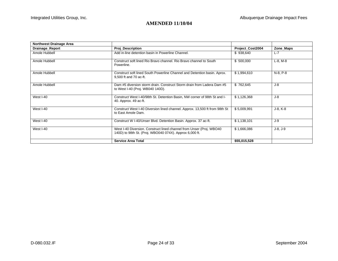| <b>Northwest Drainage Area</b> |                                                                                                                                 |                  |             |
|--------------------------------|---------------------------------------------------------------------------------------------------------------------------------|------------------|-------------|
| Drainage_Report                | <b>Proj Description</b>                                                                                                         | Project Cost2004 | Zone_Maps   |
| Amole Hubbell                  | Add in-line detention basin in Powerline Channel.                                                                               | \$938,640        | $L-7$       |
| Amole Hubbell                  | Construct soft lined Rio Bravo channel. Rio Bravo channel to South<br>Powerline.                                                | \$500,000        | $L-8$ , M-8 |
| Amole Hubbell                  | Construct soft lined South Powerline Channel and Detention basin. Aprox.<br>9,500 ft and 70 ac-ft.                              | \$1,994,610      | N-8, P-8    |
| Amole Hubbell                  | Dam #5 diversion storm drain. Construct Storm drain from Ladera Dam #5<br>to West I-40 (Proj. WB040 140D).                      | \$762,645        | J-8         |
| West I-40                      | Construct West I-40/98th St. Detention Basin, NW corner of 98th St and I-<br>40. Approx. 49 ac-ft.                              | \$1,126,368      | J-8         |
| West I-40                      | Construct West I-40 Diversion lined channel. Approx. 13,500 ft from 98th St<br>to East Amole Dam.                               | \$5,009,991      | J-8, K-8    |
| West I-40                      | Construct W I-40/Unser Blvd. Detention Basin. Approx. 37 ac-ft.                                                                 | \$1,138,101      | J-9         |
| West I-40                      | West I-40 Diversion. Construct lined channel from Unser (Proj. WBO40<br>140D) to 98th St. (Proj. WBO040 074X). Approx 6,000 ft. | \$1,666,086      | $J-8, J-9$  |
|                                | <b>Service Area Total</b>                                                                                                       | \$55,015,528     |             |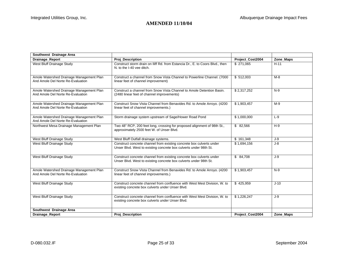| Southwest Drainage Area                                                       |                                                                                                                                           |                  |           |
|-------------------------------------------------------------------------------|-------------------------------------------------------------------------------------------------------------------------------------------|------------------|-----------|
| Drainage_Report                                                               | Proj_Description                                                                                                                          | Project_Cost2004 | Zone_Maps |
| West Bluff Drainage Study                                                     | Construct storm drain on Iliff Rd. from Estancia Dr., E. to Coors Blvd., then<br>N. to the I-40 yee ditch.                                | \$ 271.065       | $H-11$    |
| Amole Watershed Drainage Management Plan<br>And Amole Del Norte Re-Evaluation | Construct a channel from Snow Vista Channel to Powerline Channel. (7000)<br>linear feet of channel improvement)                           | \$512,003        | $M-8$     |
| Amole Watershed Drainage Management Plan<br>And Amole Del Norte Re-Evaluation | Construct a channel from Snow Vista Channel to Amole Detention Basin.<br>(2480 linear feet of channel improvements)                       | \$2,317,252      | $N-9$     |
| Amole Watershed Drainage Management Plan<br>And Amole Del Norte Re-Evaluation | Construct Snow Vista Channel from Benavides Rd. to Amole Arroyo. (4200<br>linear feet of channel improvements.)                           | \$1,903,457      | $M-9$     |
| Amole Watershed Drainage Management Plan<br>And Amole Del Norte Re-Evaluation | Storm drainage system upstream of Sage/Hower Road Pond                                                                                    | \$1,000,000      | $L-9$     |
| Northwest Mesa Drainage Management Plan                                       | Two 48" RCP, 200 feet long, crossing for proposed alignment of 98th St.,<br>approximately 2500 feet W. of Unser Blvd.                     | \$82,566         | $H-9$     |
| West Bluff Drainage Study                                                     | West Bluff Outfall drainage systems.                                                                                                      | \$161,348        | J-9       |
| West Bluff Drainage Study                                                     | Construct concrete channel from existing concrete box culverts under<br>Unser Blvd. West to existing concrete box culverts under 98th St. | \$1,694,156      | J-8       |
| West Bluff Drainage Study                                                     | Construct concrete channel from existing concrete box culverts under<br>Unser Blvd. West to existing concrete box culverts under 98th St. | \$84,708         | J-9       |
| Amole Watershed Drainage Management Plan<br>And Amole Del Norte Re-Evaluation | Construct Snow Vista Channel from Benavides Rd. to Amole Arroyo. (4200<br>linear feet of channel improvements.)                           | \$1,903,457      | $N-9$     |
| West Bluff Drainage Study                                                     | Construct concrete channel from confluence with West Mest Division, W. to<br>existing concrete box culverts under Unser Blvd.             | \$425,959        | $J-10$    |
| West Bluff Drainage Study                                                     | Construct concrete channel from confluence with West Mest Division, W. to<br>existing concrete box culverts under Unser Blvd.             | \$1,226,247      | J-9       |
| Southwest Drainage Area                                                       |                                                                                                                                           |                  |           |
| <b>Drainage Report</b>                                                        | <b>Proi Description</b>                                                                                                                   | Project Cost2004 | Zone Maps |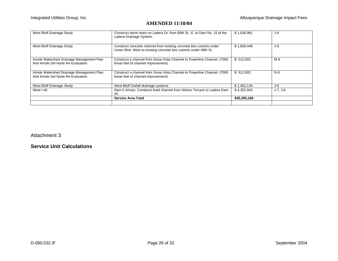| West Bluff Drainage Study                                                     | Construct storm drain on Ladera Dr. from 90th St., E. to Dam No. 15 of the<br>Ladera Drainage System.                                     | \$1,026,981  | J-9      |
|-------------------------------------------------------------------------------|-------------------------------------------------------------------------------------------------------------------------------------------|--------------|----------|
| West Bluff Drainage Study                                                     | Construct concrete channel from existing concrete box culverts under<br>Unser Blvd. West to existing concrete box culverts under 98th St. | \$1,609,448  | J-9      |
| Amole Watershed Drainage Management Plan<br>And Amole Del Norte Re-Evaluation | Construct a channel from Snow Vista Channel to Powerline Channel. (7000)<br>linear feet of channel improvement)                           | \$512.002    | $M-9$    |
| Amole Watershed Drainage Management Plan<br>And Amole Del Norte Re-Evaluation | Construct a channel from Snow Vista Channel to Powerline Channel. (7000)<br>linear feet of channel improvement)                           | \$512.002    | $N-9$    |
| West Bluff Drainage Study                                                     | West Bluff Outfall drainage systems.                                                                                                      | \$1,452,134  | J-9      |
| West I-40                                                                     | Dam 5 Arroyo. Construct lined channel from Atrisco Terrace to Ladera Dam<br>#5.                                                           | \$4,352,943  | J-7. J-8 |
|                                                                               | <b>Service Area Total</b>                                                                                                                 | \$35,393,166 |          |
|                                                                               |                                                                                                                                           |              |          |

Attachment 3

**Service Unit Calculations**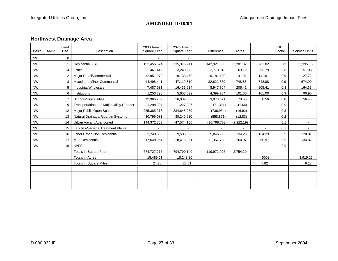# **Northwest Drainage Area**

| Basin     | AMDS | Land<br>Use    | Description                               | 2000 Area in<br><b>Square Feet</b> | 2025 Area in<br><b>Square Feet</b> | <b>Difference</b> | Acres      |          | <b>SU</b><br>Factor | <b>Service Units</b> |
|-----------|------|----------------|-------------------------------------------|------------------------------------|------------------------------------|-------------------|------------|----------|---------------------|----------------------|
| <b>NW</b> |      | $\Omega$       |                                           |                                    |                                    |                   |            |          |                     |                      |
| <b>NW</b> |      |                | Residential - SF                          | 192,455,574                        | 335,376,941                        | 142,921,366       | 3,281.02   | 3,281.02 | 0.73                | 2,395.15             |
| <b>NW</b> |      |                | Office                                    | 461,445                            | 3,240,263                          | 2,778,818         | 63.79      | 63.79    | 0.8                 | 51.03                |
| <b>NW</b> |      | $\overline{2}$ | Major Retail/Commercial                   | 12,951,970                         | 19,133,450                         | 6,181,480         | 141.91     | 141.91   | 0.9                 | 127.72               |
| <b>NW</b> |      | 3              | Mixed and Minor Commercial                | 14,498,441                         | 47,119,810                         | 32,621,369        | 748.88     | 748.88   | 0.9                 | 674.00               |
| <b>NW</b> |      | 5              | Industrial/Wholesale                      | 7,487,931                          | 16,435,634                         | 8,947,704         | 205.41     | 205.41   | 0.8                 | 164.33               |
| <b>NW</b> |      | 6              | Institutions                              | 1,253,395                          | 5,653,099                          | 4,399,704         | 101.00     | 101.00   | 0.9                 | 90.90                |
| <b>NW</b> |      |                | Schools/Universities                      | 12,966,289                         | 16,039,860                         | 3,073,571         | 70.56      | 70.56    | 0.8                 | 56.45                |
| <b>NW</b> |      | 9              | Transportation and Major Utility Corridor | 1,298,397                          | 1,227,086                          | (71, 311)         | (1.64)     |          | 0.9                 |                      |
| <b>NW</b> |      | 12             | Major Public Open Space                   | 235,385,213                        | 234,648,279                        | (736, 934)        | (16.92)    |          | 0.3                 |                      |
| <b>NW</b> |      | 13             | Natural Drainage/Riparian Systems         | 30,799,081                         | 30,240,210                         | (558, 871)        | (12.83)    |          | 0.2                 |                      |
| <b>NW</b> |      | 14             | Urban Vacant/Abandoned                    | 144,372,853                        | 47,574,100                         | (96, 798, 753)    | (2,222.19) |          | 0.1                 |                      |
| <b>NW</b> |      | 15             | Landfills/Sewage Treatment Plants         |                                    |                                    |                   |            |          | 0.7                 |                      |
| <b>NW</b> |      | 16             | Other Urban/Non Residential               | 3,748,563                          | 9,595,558                          | 5,846,995         | 134.23     | 134.23   | 0.9                 | 120.81               |
| <b>NW</b> |      | 17             | MF - Residential                          | 17,048,064                         | 28,415,851                         | 11,367,788        | 260.97     | 260.97   | 0.9                 | 234.87               |
| <b>NW</b> |      | 18             | <b>KAFB</b>                               |                                    |                                    |                   |            |          | 0.9                 |                      |
|           |      |                | <b>Totals in Square Feet</b>              | 674,727,215                        | 794,700,140                        | 119,972,925       | 2,754.20   |          |                     |                      |
|           |      |                | <b>Totals in Acres</b>                    | 15,489.61                          | 18,243.80                          |                   |            | 5008     |                     | 3,915.25             |
|           |      |                | <b>Totals in Square Miles</b>             | 24.20                              | 28.51                              |                   |            | 7.82     |                     | 6.12                 |
|           |      |                |                                           |                                    |                                    |                   |            |          |                     |                      |
|           |      |                |                                           |                                    |                                    |                   |            |          |                     |                      |
|           |      |                |                                           |                                    |                                    |                   |            |          |                     |                      |
|           |      |                |                                           |                                    |                                    |                   |            |          |                     |                      |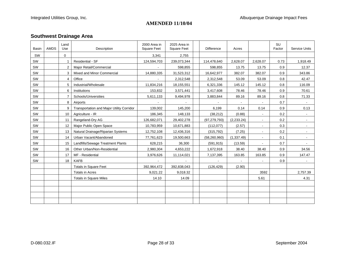# **Southwest Drainage Area**

| Basin | <b>AMDS</b> | Land<br>Use | Description                               | 2000 Area in<br><b>Square Feet</b> | 2025 Area in<br><b>Square Feet</b> | <b>Difference</b> | Acres       |                | SU<br>Factor | <b>Service Units</b> |
|-------|-------------|-------------|-------------------------------------------|------------------------------------|------------------------------------|-------------------|-------------|----------------|--------------|----------------------|
| SW    |             | 0           |                                           | 3,341                              | 2,755                              |                   |             |                |              |                      |
| SW    |             |             | Residential - SF                          | 124,594,703                        | 239,073,344                        | 114,478,640       | 2,628.07    | 2,628.07       | 0.73         | 1,918.49             |
| SW    |             | 2           | Major Retail/Commercial                   |                                    | 598,855                            | 598,855           | 13.75       | 13.75          | 0.9          | 12.37                |
| SW    |             | 3           | Mixed and Minor Commercial                | 14,880,335                         | 31,523,312                         | 16,642,977        | 382.07      | 382.07         | 0.9          | 343.86               |
| SW    |             | 4           | Office                                    |                                    | 2,312,548                          | 2,312,548         | 53.09       | 53.09          | 0.8          | 42.47                |
| SW    |             | 5           | Industrial/Wholesale                      | 11,834,216                         | 18,155,551                         | 6,321,336         | 145.12      | 145.12         | 0.8          | 116.09               |
| SW    |             | 6           | Institutions                              | 153,832                            | 3,571,441                          | 3,417,608         | 78.46       | 78.46          | 0.9          | 70.61                |
| SW    |             |             | Schools/Universities                      | 5,611,133                          | 9,494,978                          | 3,883,844         | 89.16       | 89.16          | 0.8          | 71.33                |
| SW    |             | 8           | Airports                                  |                                    |                                    |                   |             |                | 0.7          |                      |
| SW    |             | 9           | Transportation and Major Utility Corridor | 139,002                            | 145,200                            | 6,199             | 0.14        | 0.14           | 0.9          | 0.13                 |
| SW    |             | 10          | Agriculture - IR                          | 186,345                            | 148,133                            | (38, 212)         | (0.88)      |                | 0.2          | $\sim$               |
| SW    |             | 11          | Rangeland-Dry AG                          | 126,682,071                        | 29,402,278                         | (97, 279, 793)    | (2, 233.24) |                | 0.2          |                      |
| SW    |             | 12          | Major Public Open Space                   | 10,783,959                         | 10,671,883                         | (112,077)         | (2.57)      |                | 0.3          |                      |
| SW    |             | 13          | Natural Drainage/Riparian Systems         | 12,752,108                         | 12,436,316                         | (315, 792)        | (7.25)      | $\blacksquare$ | 0.2          | $\blacksquare$       |
| SW    |             | 14          | Urban Vacant/Abandoned                    | 77,761,623                         | 19,500,663                         | (58, 260, 960)    | (1, 337.49) |                | 0.1          |                      |
| SW    |             | 15          | Landfills/Sewage Treatment Plants         | 628,215                            | 36,300                             | (591, 915)        | (13.59)     |                | 0.7          |                      |
| SW    |             | 16          | Other Urban/Non-Residential               | 2,980,304                          | 4,653,222                          | 1,672,918         | 38.40       | 38.40          | 0.9          | 34.56                |
| SW    |             | 17          | MF - Residential                          | 3,976,626                          | 11,114,021                         | 7,137,395         | 163.85      | 163.85         | 0.9          | 147.47               |
| SW    |             | 18          | <b>KAFB</b>                               |                                    |                                    |                   |             |                | 0.9          |                      |
|       |             |             | <b>Totals in Square Feet</b>              | 392,964,472                        | 392,838,043                        | (126, 429)        | (2.90)      |                |              |                      |
|       |             |             | <b>Totals in Acres</b>                    | 9,021.22                           | 9,018.32                           |                   |             | 3592           |              | 2,757.39             |
|       |             |             | <b>Totals in Square Miles</b>             | 14.10                              | 14.09                              |                   |             | 5.61           |              | 4.31                 |
|       |             |             |                                           |                                    |                                    |                   |             |                |              |                      |
|       |             |             |                                           |                                    |                                    |                   |             |                |              |                      |
|       |             |             |                                           |                                    |                                    |                   |             |                |              |                      |
|       |             |             |                                           |                                    |                                    |                   |             |                |              |                      |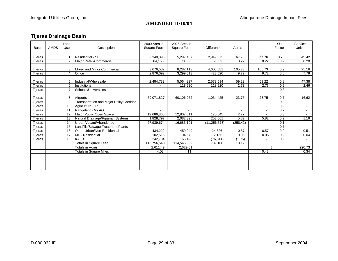# **Tijeras Drainage Basin**

| Basin              | <b>AMDS</b> | Land<br>Use     | Description                               | 2000 Area in<br><b>Square Feet</b> | 2025 Area in<br><b>Square Feet</b> | <b>Difference</b>    | Acres         |                | <b>SU</b><br>Factor | Service<br><b>Units</b> |
|--------------------|-------------|-----------------|-------------------------------------------|------------------------------------|------------------------------------|----------------------|---------------|----------------|---------------------|-------------------------|
| Tijeras            |             |                 | Residential - SF                          | 2,348,396                          | 5,297,467                          | 2,949,072            | 67.70         | 67.70          | 0.73                | 49.42                   |
| Tijeras            |             | 2               | Major Retail/Commercial                   | 64,155                             | 73,806                             | 9,652                | 0.22          | 0.22           | 0.9                 | 0.20                    |
| Tijeras            |             | 3               | Mixed and Minor Commercial                | 3,676,532                          | 8,282,113                          | 4,605,581            | 105.73        | 105.73         | 0.9                 | 95.16                   |
| Tijeras            |             | $\overline{4}$  | Office                                    | 2,876,092                          | 3,299,613                          | 423,520              | 9.72          | 9.72           | 0.8                 | 7.78                    |
| Tijeras<br>Tijeras |             | 5<br>6          | Industrial/Wholesale<br>Institutions      | 2,484,733                          | 5,064,327<br>118,920               | 2,579,594<br>118,920 | 59.22<br>2.73 | 59.22<br>2.73  | 0.8<br>0.9          | 47.38<br>2.46           |
| Tijeras            |             | $\overline{7}$  | Schools/Universities                      | $\blacksquare$                     |                                    |                      |               | $\blacksquare$ | 0.8                 | $\sim$                  |
|                    |             |                 |                                           |                                    |                                    |                      |               |                |                     |                         |
| Tijeras            |             | 8               | Airports                                  | 59,071,827                         | 60,106,252                         | 1,034,425            | 23.75         | 23.75          | 0.7                 | 16.62                   |
| Tijeras            |             | 9               | Transportation and Major Utility Corridor |                                    |                                    |                      |               | ÷              | 0.9                 | $\sim$                  |
| Tijeras            |             | 10              | Agriculture - IR                          | $\blacksquare$                     |                                    | $\blacksquare$       |               | $\blacksquare$ | 0.2                 | $\sim$                  |
| Tijeras            |             | 11              | Rangeland-Dry AG                          |                                    |                                    | $\blacksquare$       |               | $\blacksquare$ | 0.2                 | $\sim$                  |
| Tijeras            |             | 12              | Major Public Open Space                   | 12,686,866                         | 12,807,511                         | 120,645              | 2.77          | $\blacksquare$ | 0.3                 | $\sim$                  |
| Tijeras            |             | 13              | Natural Drainage/Riparian Systems         | 1,828,797                          | 2,082,398                          | 253,601              | 5.82          | 5.82           | 0.2                 | 1.16                    |
| Tijeras            |             | 14              | Urban Vacant/Abandoned                    | 27,939,674                         | 16,683,101                         | (11, 256, 573)       | (258.42)      | $\blacksquare$ | 0.1                 | $\sim$                  |
| Tijeras            |             | 15              | Landfills/Sewage Treatment Plants         |                                    |                                    |                      |               |                | 0.7                 | $\sim$                  |
| Tijeras            |             | 16              | Other Urban/Non-Residential               | 434,222                            | 459,049                            | 24,826               | 0.57          | 0.57           | 0.9                 | 0.51                    |
| Tijeras            |             | 17              | MF - Residential                          | 102,515                            | 104,672                            | 2,156                | 0.05          | 0.05           | 0.9                 | 0.04                    |
| Tijeras            |             | $\overline{18}$ | <b>KAFB</b>                               | 242,734                            | 166,423                            | (76, 311)            | (1.75)        |                | 0.9                 | $\sim$                  |
|                    |             |                 | <b>Totals in Square Feet</b>              | 113,756,543                        | 114,545,652                        | 789,108              | 18.12         |                |                     |                         |
|                    |             |                 | <b>Totals in Acres</b>                    | 2,611.49                           | 2,629.61                           |                      |               |                |                     | 220.73                  |
|                    |             |                 | <b>Totals in Square Miles</b>             | 4.08                               | 4.11                               |                      |               | 0.43           |                     | 0.34                    |
|                    |             |                 |                                           |                                    |                                    |                      |               |                |                     |                         |
|                    |             |                 |                                           |                                    |                                    |                      |               |                |                     |                         |
|                    |             |                 |                                           |                                    |                                    |                      |               |                |                     |                         |
|                    |             |                 |                                           |                                    |                                    |                      |               |                |                     |                         |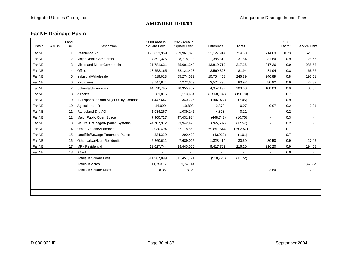# **Far NE Drainage Basin**

| <b>Basin</b> | <b>AMDS</b> | Land<br>Use    | Description                               | 2000 Area in<br><b>Square Feet</b> | 2025 Area in<br><b>Square Feet</b> | <b>Difference</b> | Acres      |                | <b>SU</b><br>Factor | <b>Service Units</b> |
|--------------|-------------|----------------|-------------------------------------------|------------------------------------|------------------------------------|-------------------|------------|----------------|---------------------|----------------------|
| Far NE       |             | -1             | Residential - SF                          | 198,833,959                        | 229,961,873                        | 31,127,914        | 714.60     | 714.60         | 0.73                | 521.66               |
| Far NE       |             | $\overline{2}$ | Major Retail/Commercial                   | 7,391,326                          | 8,778,138                          | 1,386,812         | 31.84      | 31.84          | 0.9                 | 28.65                |
| Far NE       |             | 3              | Mixed and Minor Commercial                | 21,781,631                         | 35,601,343                         | 13,819,712        | 317.26     | 317.26         | 0.9                 | 285.53               |
| Far NE       |             | $\overline{4}$ | Office                                    | 18,552,165                         | 22,121,493                         | 3,569,328         | 81.94      | 81.94          | 0.8                 | 65.55                |
| Far NE       |             | 5              | Industrial/Wholesale                      | 44,519,613                         | 55,274,072                         | 10,754,458        | 246.89     | 246.89         | 0.8                 | 197.51               |
| Far NE       |             | 6              | Institutions                              | 3,747,874                          | 7,272,669                          | 3,524,796         | 80.92      | 80.92          | 0.9                 | 72.83                |
| Far NE       |             | $\overline{7}$ | Schools/Universities                      | 14,598,795                         | 18,955,987                         | 4,357,192         | 100.03     | 100.03         | 0.8                 | 80.02                |
| Far NE       |             | 8              | Airports                                  | 9,681,816                          | 1,113,684                          | (8,568,132)       | (196.70)   | $\blacksquare$ | 0.7                 | $\sim$               |
| Far NE       |             | 9              | Transportation and Major Utility Corridor | 1,447,647                          | 1,340,725                          | (106, 922)        | (2.45)     |                | 0.9                 |                      |
| Far NE       |             | 10             | Agriculture - IR                          | 16,929                             | 19,808                             | 2,879             | 0.07       | 0.07           | 0.2                 | 0.01                 |
| Far NE       |             | 11             | Rangeland-Dry AG                          | 1,034,267                          | 1,039,145                          | 4,878             | 0.11       |                | 0.2                 |                      |
| Far NE       |             | 12             | Major Public Open Space                   | 47,900,727                         | 47,431,984                         | (468, 743)        | (10.76)    |                | 0.3                 | $\sim$               |
| Far NE       |             | 13             | Natural Drainage/Riparian Systems         | 24,707,972                         | 23,942,470                         | (765, 502)        | (17.57)    | ۰              | 0.2                 | $\sim$               |
| Far NE       |             | 14             | Urban Vacant/Abandoned                    | 92,030,494                         | 22,178,850                         | (69, 851, 644)    | (1,603.57) |                | 0.1                 |                      |
| Far NE       |             | 15             | Landfills/Sewage Treatment Plants         | 334,329                            | 290,400                            | (43,929)          | (1.01)     |                | 0.7                 |                      |
| Far NE       |             | 16             | Other Urban/Non-Residential               | 6,360,611                          | 7,689,025                          | 1,328,414         | 30.50      | 30.50          | 0.9                 | 27.45                |
| Far NE       |             | 17             | MF - Residential                          | 19,027,744                         | 28,445,506                         | 9,417,762         | 216.20     | 216.20         | 0.9                 | 194.58               |
| Far NE       |             | 18             | <b>KAFB</b>                               |                                    |                                    |                   |            |                | 0.9                 |                      |
|              |             |                | <b>Totals in Square Feet</b>              | 511,967,899                        | 511,457,171                        | (510, 728)        | (11.72)    |                |                     |                      |
|              |             |                | <b>Totals in Acres</b>                    | 11,753.17                          | 11,741.44                          |                   |            |                |                     | 1,473.79             |
|              |             |                | <b>Totals in Square Miles</b>             | 18.36                              | 18.35                              |                   |            | 2.84           |                     | 2.30                 |
|              |             |                |                                           |                                    |                                    |                   |            |                |                     |                      |
|              |             |                |                                           |                                    |                                    |                   |            |                |                     |                      |
|              |             |                |                                           |                                    |                                    |                   |            |                |                     |                      |
|              |             |                |                                           |                                    |                                    |                   |            |                |                     |                      |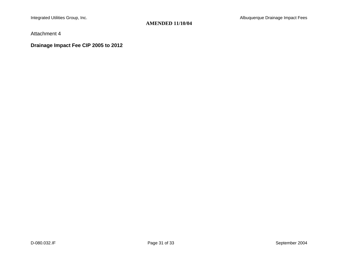Attachment 4

**Drainage Impact Fee CIP 2005 to 2012**